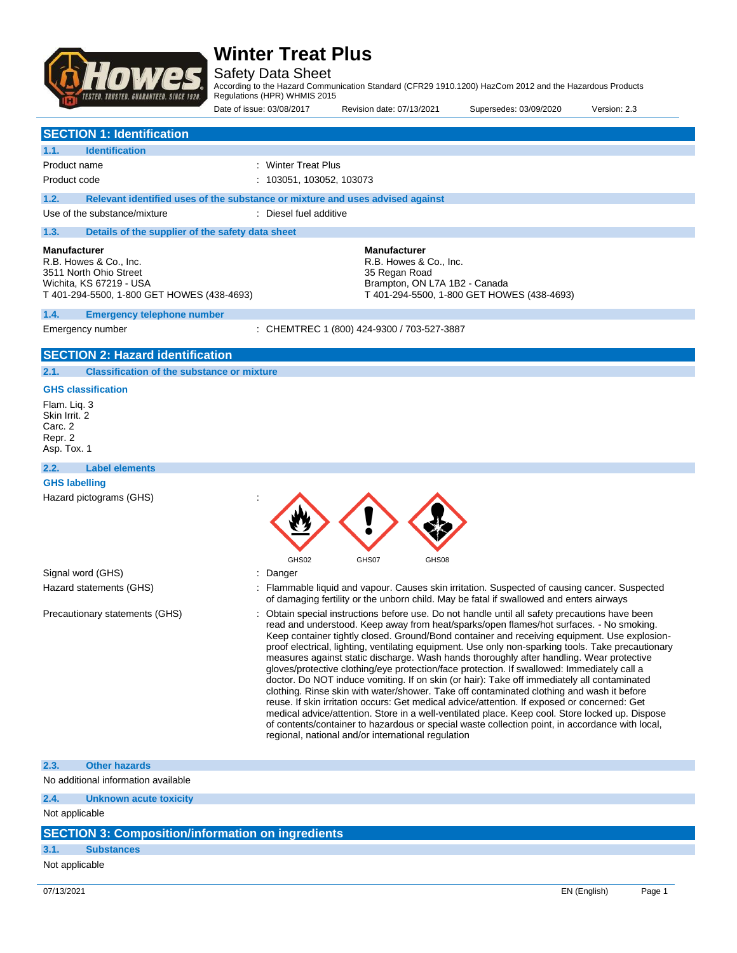

Safety Data Sheet

According to the Hazard Communication Standard (CFR29 1910.1200) HazCom 2012 and the Hazardous Products Regulations (HPR) WHMIS 2015

|                                                    |                                                                                                                                                  | Date of issue: 03/08/2017                                                     | Revision date: 07/13/2021                                                                       | Supersedes: 03/09/2020                                                                                                                                                                                                                                                                                                                                                                                                                                                                                                                                                                                                                                                                                                                                                                                                                                                                                                                                                                                                                                                                     | Version: 2.3 |
|----------------------------------------------------|--------------------------------------------------------------------------------------------------------------------------------------------------|-------------------------------------------------------------------------------|-------------------------------------------------------------------------------------------------|--------------------------------------------------------------------------------------------------------------------------------------------------------------------------------------------------------------------------------------------------------------------------------------------------------------------------------------------------------------------------------------------------------------------------------------------------------------------------------------------------------------------------------------------------------------------------------------------------------------------------------------------------------------------------------------------------------------------------------------------------------------------------------------------------------------------------------------------------------------------------------------------------------------------------------------------------------------------------------------------------------------------------------------------------------------------------------------------|--------------|
|                                                    | <b>SECTION 1: Identification</b>                                                                                                                 |                                                                               |                                                                                                 |                                                                                                                                                                                                                                                                                                                                                                                                                                                                                                                                                                                                                                                                                                                                                                                                                                                                                                                                                                                                                                                                                            |              |
| 1.1.                                               | <b>Identification</b>                                                                                                                            |                                                                               |                                                                                                 |                                                                                                                                                                                                                                                                                                                                                                                                                                                                                                                                                                                                                                                                                                                                                                                                                                                                                                                                                                                                                                                                                            |              |
|                                                    | Product name                                                                                                                                     | <b>Winter Treat Plus</b>                                                      |                                                                                                 |                                                                                                                                                                                                                                                                                                                                                                                                                                                                                                                                                                                                                                                                                                                                                                                                                                                                                                                                                                                                                                                                                            |              |
|                                                    | Product code                                                                                                                                     | 103051, 103052, 103073                                                        |                                                                                                 |                                                                                                                                                                                                                                                                                                                                                                                                                                                                                                                                                                                                                                                                                                                                                                                                                                                                                                                                                                                                                                                                                            |              |
| 1.2.                                               |                                                                                                                                                  | Relevant identified uses of the substance or mixture and uses advised against |                                                                                                 |                                                                                                                                                                                                                                                                                                                                                                                                                                                                                                                                                                                                                                                                                                                                                                                                                                                                                                                                                                                                                                                                                            |              |
|                                                    | Use of the substance/mixture                                                                                                                     | : Diesel fuel additive                                                        |                                                                                                 |                                                                                                                                                                                                                                                                                                                                                                                                                                                                                                                                                                                                                                                                                                                                                                                                                                                                                                                                                                                                                                                                                            |              |
| 1.3.                                               | Details of the supplier of the safety data sheet                                                                                                 |                                                                               |                                                                                                 |                                                                                                                                                                                                                                                                                                                                                                                                                                                                                                                                                                                                                                                                                                                                                                                                                                                                                                                                                                                                                                                                                            |              |
|                                                    | <b>Manufacturer</b><br>R.B. Howes & Co., Inc.<br>3511 North Ohio Street<br>Wichita, KS 67219 - USA<br>T 401-294-5500, 1-800 GET HOWES (438-4693) |                                                                               | <b>Manufacturer</b><br>R.B. Howes & Co., Inc.<br>35 Regan Road<br>Brampton, ON L7A 1B2 - Canada | T 401-294-5500, 1-800 GET HOWES (438-4693)                                                                                                                                                                                                                                                                                                                                                                                                                                                                                                                                                                                                                                                                                                                                                                                                                                                                                                                                                                                                                                                 |              |
| 1.4.                                               | <b>Emergency telephone number</b>                                                                                                                |                                                                               |                                                                                                 |                                                                                                                                                                                                                                                                                                                                                                                                                                                                                                                                                                                                                                                                                                                                                                                                                                                                                                                                                                                                                                                                                            |              |
|                                                    | Emergency number                                                                                                                                 |                                                                               | : CHEMTREC 1 (800) 424-9300 / 703-527-3887                                                      |                                                                                                                                                                                                                                                                                                                                                                                                                                                                                                                                                                                                                                                                                                                                                                                                                                                                                                                                                                                                                                                                                            |              |
|                                                    | <b>SECTION 2: Hazard identification</b>                                                                                                          |                                                                               |                                                                                                 |                                                                                                                                                                                                                                                                                                                                                                                                                                                                                                                                                                                                                                                                                                                                                                                                                                                                                                                                                                                                                                                                                            |              |
| 2.1.                                               | <b>Classification of the substance or mixture</b>                                                                                                |                                                                               |                                                                                                 |                                                                                                                                                                                                                                                                                                                                                                                                                                                                                                                                                                                                                                                                                                                                                                                                                                                                                                                                                                                                                                                                                            |              |
|                                                    | <b>GHS classification</b>                                                                                                                        |                                                                               |                                                                                                 |                                                                                                                                                                                                                                                                                                                                                                                                                                                                                                                                                                                                                                                                                                                                                                                                                                                                                                                                                                                                                                                                                            |              |
| Skin Irrit. 2<br>Carc. 2<br>Repr. 2<br>Asp. Tox. 1 |                                                                                                                                                  |                                                                               |                                                                                                 |                                                                                                                                                                                                                                                                                                                                                                                                                                                                                                                                                                                                                                                                                                                                                                                                                                                                                                                                                                                                                                                                                            |              |
| 2.2.                                               | <b>Label elements</b>                                                                                                                            |                                                                               |                                                                                                 |                                                                                                                                                                                                                                                                                                                                                                                                                                                                                                                                                                                                                                                                                                                                                                                                                                                                                                                                                                                                                                                                                            |              |
|                                                    | <b>GHS labelling</b>                                                                                                                             |                                                                               |                                                                                                 |                                                                                                                                                                                                                                                                                                                                                                                                                                                                                                                                                                                                                                                                                                                                                                                                                                                                                                                                                                                                                                                                                            |              |
|                                                    | Hazard pictograms (GHS)                                                                                                                          | GHS02                                                                         | GHS07<br>GHS08                                                                                  |                                                                                                                                                                                                                                                                                                                                                                                                                                                                                                                                                                                                                                                                                                                                                                                                                                                                                                                                                                                                                                                                                            |              |
|                                                    | Signal word (GHS)                                                                                                                                | Danger                                                                        |                                                                                                 |                                                                                                                                                                                                                                                                                                                                                                                                                                                                                                                                                                                                                                                                                                                                                                                                                                                                                                                                                                                                                                                                                            |              |
|                                                    | Hazard statements (GHS)                                                                                                                          |                                                                               |                                                                                                 | : Flammable liquid and vapour. Causes skin irritation. Suspected of causing cancer. Suspected<br>of damaging fertility or the unborn child. May be fatal if swallowed and enters airways                                                                                                                                                                                                                                                                                                                                                                                                                                                                                                                                                                                                                                                                                                                                                                                                                                                                                                   |              |
|                                                    | Precautionary statements (GHS)                                                                                                                   |                                                                               | regional, national and/or international regulation                                              | Obtain special instructions before use. Do not handle until all safety precautions have been<br>read and understood. Keep away from heat/sparks/open flames/hot surfaces. - No smoking.<br>Keep container tightly closed. Ground/Bond container and receiving equipment. Use explosion-<br>proof electrical, lighting, ventilating equipment. Use only non-sparking tools. Take precautionary<br>measures against static discharge. Wash hands thoroughly after handling. Wear protective<br>gloves/protective clothing/eye protection/face protection. If swallowed: Immediately call a<br>doctor. Do NOT induce vomiting. If on skin (or hair): Take off immediately all contaminated<br>clothing. Rinse skin with water/shower. Take off contaminated clothing and wash it before<br>reuse. If skin irritation occurs: Get medical advice/attention. If exposed or concerned: Get<br>medical advice/attention. Store in a well-ventilated place. Keep cool. Store locked up. Dispose<br>of contents/container to hazardous or special waste collection point, in accordance with local, |              |
| 2.3.                                               | <b>Other hazards</b>                                                                                                                             |                                                                               |                                                                                                 |                                                                                                                                                                                                                                                                                                                                                                                                                                                                                                                                                                                                                                                                                                                                                                                                                                                                                                                                                                                                                                                                                            |              |
|                                                    | No additional information available                                                                                                              |                                                                               |                                                                                                 |                                                                                                                                                                                                                                                                                                                                                                                                                                                                                                                                                                                                                                                                                                                                                                                                                                                                                                                                                                                                                                                                                            |              |
| 2.4.                                               | <b>Unknown acute toxicity</b>                                                                                                                    |                                                                               |                                                                                                 |                                                                                                                                                                                                                                                                                                                                                                                                                                                                                                                                                                                                                                                                                                                                                                                                                                                                                                                                                                                                                                                                                            |              |

Not applicable

### **SECTION 3: Composition/information on ingredients**

### **3.1. Substances**

Not applicable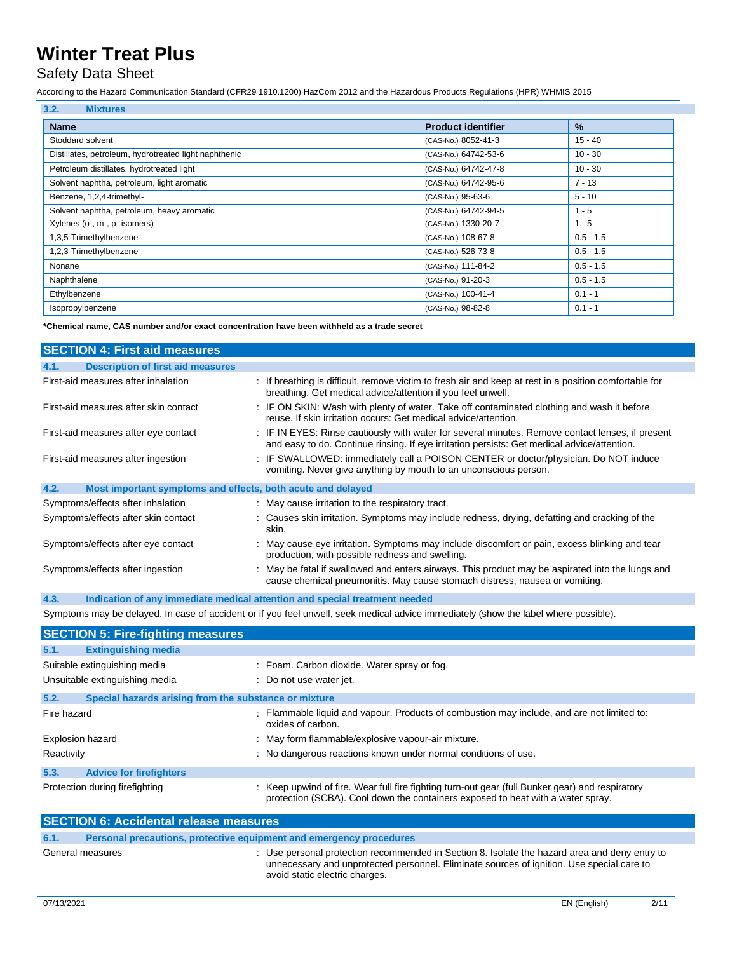### Safety Data Sheet

According to the Hazard Communication Standard (CFR29 1910.1200) HazCom 2012 and the Hazardous Products Regulations (HPR) WHMIS 2015

| 3.2.<br><b>Mixtures</b>                               |                           |             |
|-------------------------------------------------------|---------------------------|-------------|
| <b>Name</b>                                           | <b>Product identifier</b> | $\%$        |
| Stoddard solvent                                      | (CAS-No.) 8052-41-3       | $15 - 40$   |
| Distillates, petroleum, hydrotreated light naphthenic | (CAS-No.) 64742-53-6      | $10 - 30$   |
| Petroleum distillates, hydrotreated light             | (CAS-No.) 64742-47-8      | $10 - 30$   |
| Solvent naphtha, petroleum, light aromatic            | (CAS-No.) 64742-95-6      | $7 - 13$    |
| Benzene, 1,2,4-trimethyl-                             | (CAS-No.) 95-63-6         | $5 - 10$    |
| Solvent naphtha, petroleum, heavy aromatic            | (CAS-No.) 64742-94-5      | $1 - 5$     |
| Xylenes (o-, m-, p- isomers)                          | (CAS-No.) 1330-20-7       | $1 - 5$     |
| 1,3,5-Trimethylbenzene                                | (CAS-No.) 108-67-8        | $0.5 - 1.5$ |
| 1,2,3-Trimethylbenzene                                | (CAS-No.) 526-73-8        | $0.5 - 1.5$ |
| Nonane                                                | (CAS-No.) 111-84-2        | $0.5 - 1.5$ |
| Naphthalene                                           | (CAS-No.) 91-20-3         | $0.5 - 1.5$ |
| Ethylbenzene                                          | (CAS-No.) 100-41-4        | $0.1 - 1$   |
| Isopropylbenzene                                      | (CAS-No.) 98-82-8         | $0.1 - 1$   |

**\*Chemical name, CAS number and/or exact concentration have been withheld as a trade secret**

|      | <b>SECTION 4: First aid measures</b>                        |                                                                                                                                                                                                 |
|------|-------------------------------------------------------------|-------------------------------------------------------------------------------------------------------------------------------------------------------------------------------------------------|
| 4.1. | <b>Description of first aid measures</b>                    |                                                                                                                                                                                                 |
|      | First-aid measures after inhalation                         | : If breathing is difficult, remove victim to fresh air and keep at rest in a position comfortable for<br>breathing. Get medical advice/attention if you feel unwell.                           |
|      | First-aid measures after skin contact                       | : IF ON SKIN: Wash with plenty of water. Take off contaminated clothing and wash it before<br>reuse. If skin irritation occurs: Get medical advice/attention.                                   |
|      | First-aid measures after eye contact                        | : IF IN EYES: Rinse cautiously with water for several minutes. Remove contact lenses, if present<br>and easy to do. Continue rinsing. If eye irritation persists: Get medical advice/attention. |
|      | First-aid measures after ingestion                          | : IF SWALLOWED: immediately call a POISON CENTER or doctor/physician. Do NOT induce<br>vomiting. Never give anything by mouth to an unconscious person.                                         |
| 4.2. | Most important symptoms and effects, both acute and delayed |                                                                                                                                                                                                 |
|      | Symptoms/effects after inhalation                           | : May cause irritation to the respiratory tract.                                                                                                                                                |
|      | Symptoms/effects after skin contact                         | : Causes skin irritation. Symptoms may include redness, drying, defatting and cracking of the<br>skin.                                                                                          |
|      | Symptoms/effects after eye contact                          | : May cause eye irritation. Symptoms may include discomfort or pain, excess blinking and tear<br>production, with possible redness and swelling.                                                |
|      | Symptoms/effects after ingestion                            | : May be fatal if swallowed and enters airways. This product may be aspirated into the lungs and<br>cause chemical pneumonitis. May cause stomach distress, nausea or vomiting.                 |
| 4.3. |                                                             | Indication of any immediate medical attention and special treatment needed                                                                                                                      |

Symptoms may be delayed. In case of accident or if you feel unwell, seek medical advice immediately (show the label where possible).

|                                | <b>SECTION 5: Fire-fighting measures</b>              |                                                                                                                                                                                    |  |
|--------------------------------|-------------------------------------------------------|------------------------------------------------------------------------------------------------------------------------------------------------------------------------------------|--|
| 5.1.                           | <b>Extinguishing media</b>                            |                                                                                                                                                                                    |  |
| Suitable extinguishing media   |                                                       | : Foam. Carbon dioxide. Water spray or fog.                                                                                                                                        |  |
| Unsuitable extinguishing media |                                                       | : Do not use water jet.                                                                                                                                                            |  |
| 5.2.                           | Special hazards arising from the substance or mixture |                                                                                                                                                                                    |  |
| Fire hazard                    |                                                       | : Flammable liquid and vapour. Products of combustion may include, and are not limited to:<br>oxides of carbon.                                                                    |  |
| <b>Explosion hazard</b>        |                                                       | : May form flammable/explosive vapour-air mixture.                                                                                                                                 |  |
| Reactivity                     |                                                       | : No dangerous reactions known under normal conditions of use.                                                                                                                     |  |
| 5.3.                           | <b>Advice for firefighters</b>                        |                                                                                                                                                                                    |  |
| Protection during firefighting |                                                       | : Keep upwind of fire. Wear full fire fighting turn-out gear (full Bunker gear) and respiratory<br>protection (SCBA). Cool down the containers exposed to heat with a water spray. |  |

| <b>SECTION 6: Accidental release measures</b>                               |                                                                                                                                                                                                                              |  |  |
|-----------------------------------------------------------------------------|------------------------------------------------------------------------------------------------------------------------------------------------------------------------------------------------------------------------------|--|--|
| Personal precautions, protective equipment and emergency procedures<br>6.1. |                                                                                                                                                                                                                              |  |  |
| General measures                                                            | : Use personal protection recommended in Section 8. Isolate the hazard area and deny entry to<br>unnecessary and unprotected personnel. Eliminate sources of ignition. Use special care to<br>avoid static electric charges. |  |  |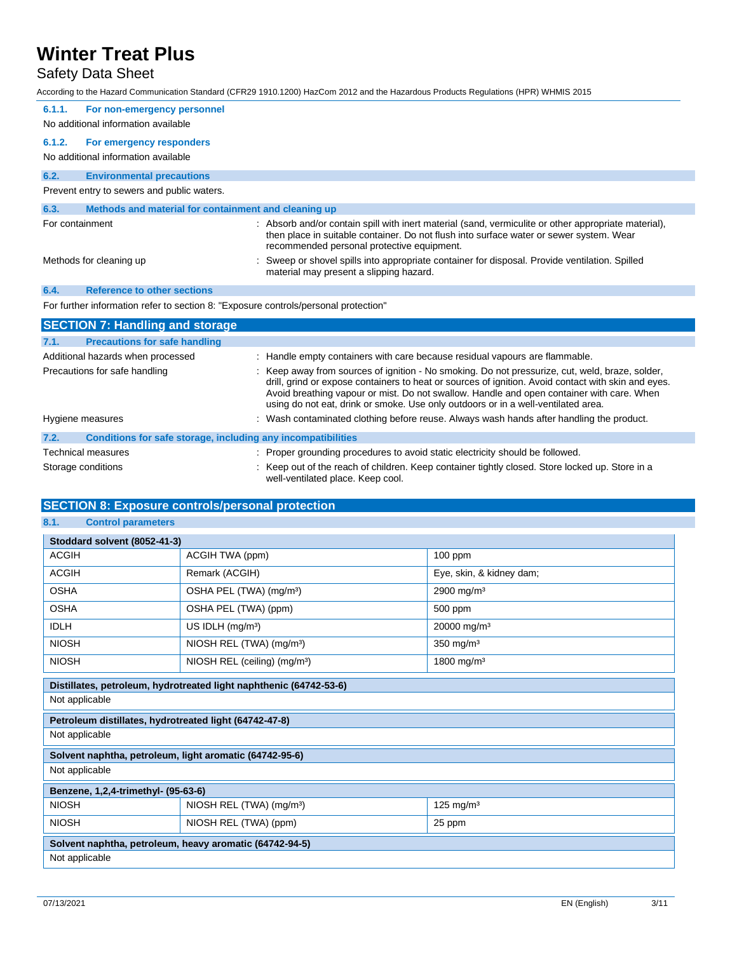## Safety Data Sheet

|                           |                                                                                     | According to the Hazard Communication Standard (CFR29 1910.1200) HazCom 2012 and the Hazardous Products Regulations (HPR) WHMIS 2015                                                                                                                                                                                                                                                     |
|---------------------------|-------------------------------------------------------------------------------------|------------------------------------------------------------------------------------------------------------------------------------------------------------------------------------------------------------------------------------------------------------------------------------------------------------------------------------------------------------------------------------------|
| 6.1.1.                    | For non-emergency personnel<br>No additional information available                  |                                                                                                                                                                                                                                                                                                                                                                                          |
| 6.1.2.                    | For emergency responders<br>No additional information available                     |                                                                                                                                                                                                                                                                                                                                                                                          |
| 6.2.                      | <b>Environmental precautions</b>                                                    |                                                                                                                                                                                                                                                                                                                                                                                          |
|                           | Prevent entry to sewers and public waters.                                          |                                                                                                                                                                                                                                                                                                                                                                                          |
| 6.3.                      | Methods and material for containment and cleaning up                                |                                                                                                                                                                                                                                                                                                                                                                                          |
| For containment           |                                                                                     | : Absorb and/or contain spill with inert material (sand, vermiculite or other appropriate material),<br>then place in suitable container. Do not flush into surface water or sewer system. Wear<br>recommended personal protective equipment.                                                                                                                                            |
| Methods for cleaning up   |                                                                                     | Sweep or shovel spills into appropriate container for disposal. Provide ventilation. Spilled<br>material may present a slipping hazard.                                                                                                                                                                                                                                                  |
| 6.4.                      | <b>Reference to other sections</b>                                                  |                                                                                                                                                                                                                                                                                                                                                                                          |
|                           | For further information refer to section 8: "Exposure controls/personal protection" |                                                                                                                                                                                                                                                                                                                                                                                          |
|                           | <b>SECTION 7: Handling and storage</b>                                              |                                                                                                                                                                                                                                                                                                                                                                                          |
| 7.1.                      | <b>Precautions for safe handling</b>                                                |                                                                                                                                                                                                                                                                                                                                                                                          |
|                           | Additional hazards when processed                                                   | : Handle empty containers with care because residual vapours are flammable.                                                                                                                                                                                                                                                                                                              |
|                           | Precautions for safe handling                                                       | : Keep away from sources of ignition - No smoking. Do not pressurize, cut, weld, braze, solder,<br>drill, grind or expose containers to heat or sources of ignition. Avoid contact with skin and eyes.<br>Avoid breathing vapour or mist. Do not swallow. Handle and open container with care. When<br>using do not eat, drink or smoke. Use only outdoors or in a well-ventilated area. |
| Hygiene measures          |                                                                                     | : Wash contaminated clothing before reuse. Always wash hands after handling the product.                                                                                                                                                                                                                                                                                                 |
| 7.2.                      | Conditions for safe storage, including any incompatibilities                        |                                                                                                                                                                                                                                                                                                                                                                                          |
| <b>Technical measures</b> |                                                                                     | : Proper grounding procedures to avoid static electricity should be followed.                                                                                                                                                                                                                                                                                                            |
| Storage conditions        |                                                                                     | Keep out of the reach of children. Keep container tightly closed. Store locked up. Store in a<br>well-ventilated place. Keep cool.                                                                                                                                                                                                                                                       |

### **SECTION 8: Exposure controls/personal protection**

**8.1. Control parameters**

| Stoddard solvent (8052-41-3)                            |                                                                    |                          |  |
|---------------------------------------------------------|--------------------------------------------------------------------|--------------------------|--|
| <b>ACGIH</b>                                            | ACGIH TWA (ppm)                                                    | 100 ppm                  |  |
| <b>ACGIH</b>                                            | Remark (ACGIH)                                                     | Eye, skin, & kidney dam; |  |
| <b>OSHA</b>                                             | OSHA PEL (TWA) (mg/m <sup>3</sup> )                                | 2900 mg/m <sup>3</sup>   |  |
| <b>OSHA</b>                                             | OSHA PEL (TWA) (ppm)                                               | 500 ppm                  |  |
| <b>IDLH</b>                                             | US IDLH $(mg/m3)$                                                  | 20000 mg/m <sup>3</sup>  |  |
| <b>NIOSH</b>                                            | NIOSH REL (TWA) (mg/m <sup>3</sup> )                               | $350$ mg/m <sup>3</sup>  |  |
| <b>NIOSH</b>                                            | NIOSH REL (ceiling) (mg/m <sup>3</sup> )                           | 1800 mg/m <sup>3</sup>   |  |
|                                                         | Distillates, petroleum, hydrotreated light naphthenic (64742-53-6) |                          |  |
| Not applicable                                          |                                                                    |                          |  |
| Petroleum distillates, hydrotreated light (64742-47-8)  |                                                                    |                          |  |
| Not applicable                                          |                                                                    |                          |  |
| Solvent naphtha, petroleum, light aromatic (64742-95-6) |                                                                    |                          |  |
| Not applicable                                          |                                                                    |                          |  |
| Benzene, 1,2,4-trimethyl- (95-63-6)                     |                                                                    |                          |  |
| <b>NIOSH</b>                                            | NIOSH REL (TWA) (mg/m <sup>3</sup> )                               | 125 mg/m <sup>3</sup>    |  |
| <b>NIOSH</b>                                            | NIOSH REL (TWA) (ppm)                                              | 25 ppm                   |  |
| Solvent naphtha, petroleum, heavy aromatic (64742-94-5) |                                                                    |                          |  |
| Not applicable                                          |                                                                    |                          |  |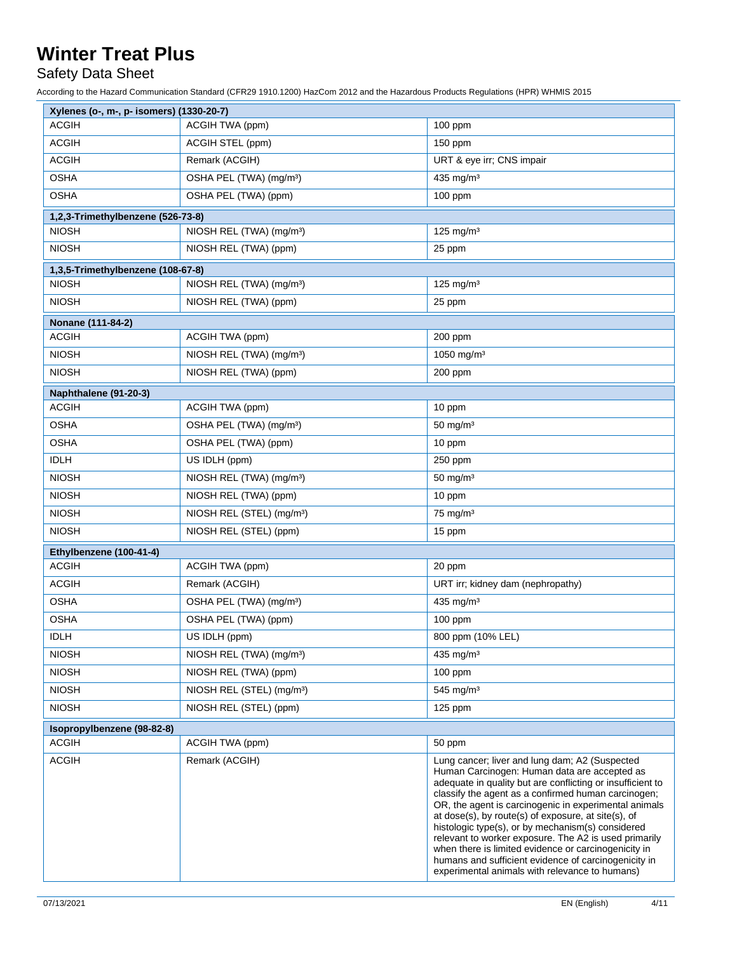## Safety Data Sheet

| Xylenes (o-, m-, p- isomers) (1330-20-7) |                                       |                                                                                                                                                                                                                                                                                                                                                                                                                                                                                                                                                                                                                     |
|------------------------------------------|---------------------------------------|---------------------------------------------------------------------------------------------------------------------------------------------------------------------------------------------------------------------------------------------------------------------------------------------------------------------------------------------------------------------------------------------------------------------------------------------------------------------------------------------------------------------------------------------------------------------------------------------------------------------|
| <b>ACGIH</b>                             | ACGIH TWA (ppm)                       | 100 ppm                                                                                                                                                                                                                                                                                                                                                                                                                                                                                                                                                                                                             |
| <b>ACGIH</b>                             | ACGIH STEL (ppm)                      | 150 ppm                                                                                                                                                                                                                                                                                                                                                                                                                                                                                                                                                                                                             |
| <b>ACGIH</b>                             | Remark (ACGIH)                        | URT & eye irr; CNS impair                                                                                                                                                                                                                                                                                                                                                                                                                                                                                                                                                                                           |
| <b>OSHA</b>                              | OSHA PEL (TWA) (mg/m <sup>3</sup> )   | 435 mg/m <sup>3</sup>                                                                                                                                                                                                                                                                                                                                                                                                                                                                                                                                                                                               |
| <b>OSHA</b>                              | OSHA PEL (TWA) (ppm)                  | 100 ppm                                                                                                                                                                                                                                                                                                                                                                                                                                                                                                                                                                                                             |
| 1,2,3-Trimethylbenzene (526-73-8)        |                                       |                                                                                                                                                                                                                                                                                                                                                                                                                                                                                                                                                                                                                     |
| <b>NIOSH</b>                             | NIOSH REL (TWA) (mg/m <sup>3</sup> )  | $125$ mg/m <sup>3</sup>                                                                                                                                                                                                                                                                                                                                                                                                                                                                                                                                                                                             |
| <b>NIOSH</b>                             | NIOSH REL (TWA) (ppm)                 | 25 ppm                                                                                                                                                                                                                                                                                                                                                                                                                                                                                                                                                                                                              |
| 1,3,5-Trimethylbenzene (108-67-8)        |                                       |                                                                                                                                                                                                                                                                                                                                                                                                                                                                                                                                                                                                                     |
| <b>NIOSH</b>                             | NIOSH REL (TWA) (mg/m <sup>3</sup> )  | 125 mg/m $3$                                                                                                                                                                                                                                                                                                                                                                                                                                                                                                                                                                                                        |
| <b>NIOSH</b>                             | NIOSH REL (TWA) (ppm)                 | 25 ppm                                                                                                                                                                                                                                                                                                                                                                                                                                                                                                                                                                                                              |
| Nonane (111-84-2)                        |                                       |                                                                                                                                                                                                                                                                                                                                                                                                                                                                                                                                                                                                                     |
| <b>ACGIH</b>                             | ACGIH TWA (ppm)                       | 200 ppm                                                                                                                                                                                                                                                                                                                                                                                                                                                                                                                                                                                                             |
| <b>NIOSH</b>                             | NIOSH REL (TWA) (mg/m <sup>3</sup> )  | 1050 mg/m <sup>3</sup>                                                                                                                                                                                                                                                                                                                                                                                                                                                                                                                                                                                              |
| <b>NIOSH</b>                             | NIOSH REL (TWA) (ppm)                 | 200 ppm                                                                                                                                                                                                                                                                                                                                                                                                                                                                                                                                                                                                             |
| Naphthalene (91-20-3)                    |                                       |                                                                                                                                                                                                                                                                                                                                                                                                                                                                                                                                                                                                                     |
| <b>ACGIH</b>                             | ACGIH TWA (ppm)                       | 10 ppm                                                                                                                                                                                                                                                                                                                                                                                                                                                                                                                                                                                                              |
| <b>OSHA</b>                              | OSHA PEL (TWA) (mg/m <sup>3</sup> )   | $50$ mg/m <sup>3</sup>                                                                                                                                                                                                                                                                                                                                                                                                                                                                                                                                                                                              |
| <b>OSHA</b>                              | OSHA PEL (TWA) (ppm)                  | 10 ppm                                                                                                                                                                                                                                                                                                                                                                                                                                                                                                                                                                                                              |
| <b>IDLH</b>                              | US IDLH (ppm)                         | 250 ppm                                                                                                                                                                                                                                                                                                                                                                                                                                                                                                                                                                                                             |
| <b>NIOSH</b>                             | NIOSH REL (TWA) (mg/m <sup>3</sup> )  | $50 \text{ mg/m}^3$                                                                                                                                                                                                                                                                                                                                                                                                                                                                                                                                                                                                 |
| <b>NIOSH</b>                             | NIOSH REL (TWA) (ppm)                 | 10 ppm                                                                                                                                                                                                                                                                                                                                                                                                                                                                                                                                                                                                              |
| <b>NIOSH</b>                             | NIOSH REL (STEL) (mg/m <sup>3</sup> ) | $75 \text{ mg/m}^3$                                                                                                                                                                                                                                                                                                                                                                                                                                                                                                                                                                                                 |
| <b>NIOSH</b>                             | NIOSH REL (STEL) (ppm)                | 15 ppm                                                                                                                                                                                                                                                                                                                                                                                                                                                                                                                                                                                                              |
| Ethylbenzene (100-41-4)                  |                                       |                                                                                                                                                                                                                                                                                                                                                                                                                                                                                                                                                                                                                     |
| <b>ACGIH</b>                             | ACGIH TWA (ppm)                       | 20 ppm                                                                                                                                                                                                                                                                                                                                                                                                                                                                                                                                                                                                              |
| <b>ACGIH</b>                             | Remark (ACGIH)                        | URT irr; kidney dam (nephropathy)                                                                                                                                                                                                                                                                                                                                                                                                                                                                                                                                                                                   |
| <b>OSHA</b>                              | OSHA PEL (TWA) (mg/m <sup>3</sup> )   | 435 mg/m <sup>3</sup>                                                                                                                                                                                                                                                                                                                                                                                                                                                                                                                                                                                               |
| <b>OSHA</b>                              | OSHA PEL (TWA) (ppm)                  | 100 ppm                                                                                                                                                                                                                                                                                                                                                                                                                                                                                                                                                                                                             |
| <b>IDLH</b>                              | US IDLH (ppm)                         | 800 ppm (10% LEL)                                                                                                                                                                                                                                                                                                                                                                                                                                                                                                                                                                                                   |
| <b>NIOSH</b>                             | NIOSH REL (TWA) (mg/m <sup>3</sup> )  | $435$ mg/m <sup>3</sup>                                                                                                                                                                                                                                                                                                                                                                                                                                                                                                                                                                                             |
| <b>NIOSH</b>                             | NIOSH REL (TWA) (ppm)                 | $100$ ppm                                                                                                                                                                                                                                                                                                                                                                                                                                                                                                                                                                                                           |
| <b>NIOSH</b>                             | NIOSH REL (STEL) (mg/m <sup>3</sup> ) | 545 mg/m <sup>3</sup>                                                                                                                                                                                                                                                                                                                                                                                                                                                                                                                                                                                               |
| <b>NIOSH</b>                             | NIOSH REL (STEL) (ppm)                | $125$ ppm                                                                                                                                                                                                                                                                                                                                                                                                                                                                                                                                                                                                           |
| Isopropylbenzene (98-82-8)               |                                       |                                                                                                                                                                                                                                                                                                                                                                                                                                                                                                                                                                                                                     |
| <b>ACGIH</b>                             | ACGIH TWA (ppm)                       | 50 ppm                                                                                                                                                                                                                                                                                                                                                                                                                                                                                                                                                                                                              |
| <b>ACGIH</b>                             | Remark (ACGIH)                        | Lung cancer; liver and lung dam; A2 (Suspected<br>Human Carcinogen: Human data are accepted as<br>adequate in quality but are conflicting or insufficient to<br>classify the agent as a confirmed human carcinogen;<br>OR, the agent is carcinogenic in experimental animals<br>at dose(s), by route(s) of exposure, at site(s), of<br>histologic type(s), or by mechanism(s) considered<br>relevant to worker exposure. The A2 is used primarily<br>when there is limited evidence or carcinogenicity in<br>humans and sufficient evidence of carcinogenicity in<br>experimental animals with relevance to humans) |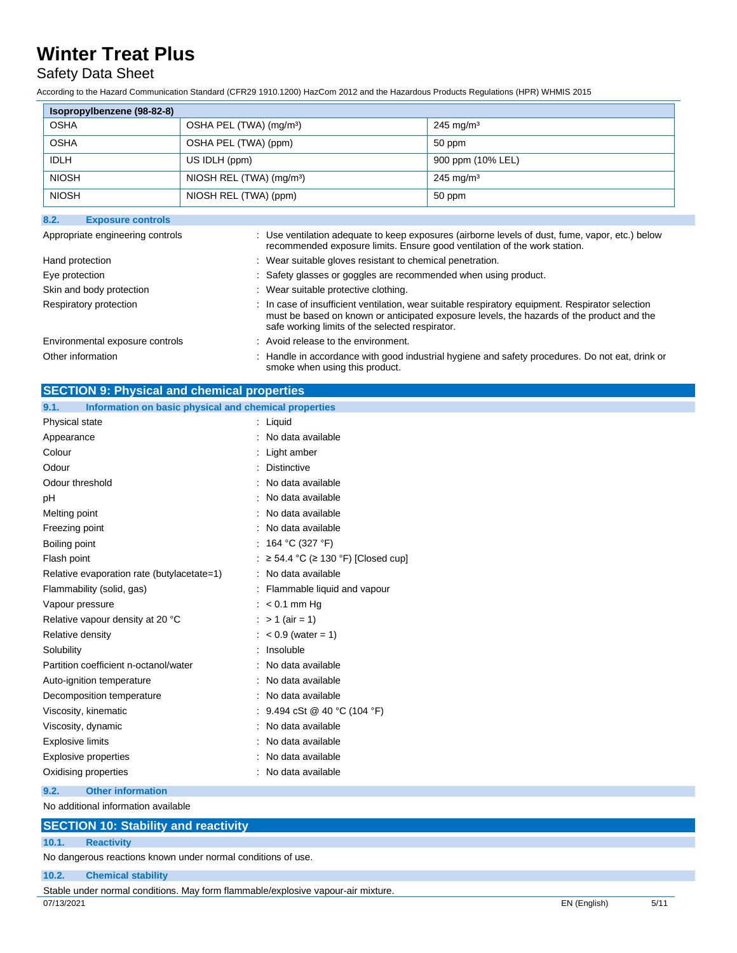### Safety Data Sheet

According to the Hazard Communication Standard (CFR29 1910.1200) HazCom 2012 and the Hazardous Products Regulations (HPR) WHMIS 2015

| Isopropylbenzene (98-82-8) |                                        |                      |
|----------------------------|----------------------------------------|----------------------|
| <b>OSHA</b>                | OSHA PEL (TWA) (mg/m <sup>3</sup> )    | $245 \text{ mg/m}^3$ |
| <b>OSHA</b>                | OSHA PEL (TWA) (ppm)                   | 50 ppm               |
| <b>IDLH</b>                | US IDLH (ppm)                          | 900 ppm (10% LEL)    |
| <b>NIOSH</b>               | NIOSH REL $(TWA)$ (mg/m <sup>3</sup> ) | $245 \text{ mg/m}^3$ |
| <b>NIOSH</b>               | NIOSH REL (TWA) (ppm)                  | 50 ppm               |

| 8.2.<br><b>Exposure controls</b> |                                                                                                                                                                                                                                                  |
|----------------------------------|--------------------------------------------------------------------------------------------------------------------------------------------------------------------------------------------------------------------------------------------------|
| Appropriate engineering controls | : Use ventilation adequate to keep exposures (airborne levels of dust, fume, vapor, etc.) below<br>recommended exposure limits. Ensure good ventilation of the work station.                                                                     |
| Hand protection                  | : Wear suitable gloves resistant to chemical penetration.                                                                                                                                                                                        |
| Eye protection                   | : Safety glasses or goggles are recommended when using product.                                                                                                                                                                                  |
| Skin and body protection         | : Wear suitable protective clothing.                                                                                                                                                                                                             |
| Respiratory protection           | : In case of insufficient ventilation, wear suitable respiratory equipment. Respirator selection<br>must be based on known or anticipated exposure levels, the hazards of the product and the<br>safe working limits of the selected respirator. |
| Environmental exposure controls  | : Avoid release to the environment.                                                                                                                                                                                                              |
| Other information                | : Handle in accordance with good industrial hygiene and safety procedures. Do not eat, drink or<br>smoke when using this product.                                                                                                                |

| <b>SECTION 9: Physical and chemical properties</b> |  |
|----------------------------------------------------|--|
|                                                    |  |

| Information on basic physical and chemical properties<br>9.1. |                                              |
|---------------------------------------------------------------|----------------------------------------------|
| Physical state                                                | $:$ Liquid                                   |
| Appearance                                                    | No data available                            |
| Colour                                                        | Light amber                                  |
| Odour                                                         | <b>Distinctive</b>                           |
| Odour threshold                                               | No data available                            |
| рH                                                            | No data available                            |
| Melting point                                                 | No data available                            |
| Freezing point                                                | No data available                            |
| Boiling point                                                 | 164 °C (327 °F)                              |
| Flash point                                                   | $\geq$ 54.4 °C ( $\geq$ 130 °F) [Closed cup] |
| Relative evaporation rate (butylacetate=1)                    | No data available                            |
| Flammability (solid, gas)                                     | Flammable liquid and vapour                  |
| Vapour pressure                                               | $: < 0.1$ mm Hq                              |
| Relative vapour density at 20 °C                              | $> 1$ (air = 1)                              |
| Relative density                                              | $< 0.9$ (water = 1)                          |
| Solubility                                                    | Insoluble                                    |
| Partition coefficient n-octanol/water                         | No data available                            |
| Auto-ignition temperature                                     | No data available                            |
| Decomposition temperature                                     | No data available                            |
| Viscosity, kinematic                                          | 9.494 cSt @ 40 °C (104 °F)                   |
| Viscosity, dynamic                                            | No data available                            |
| <b>Explosive limits</b>                                       | No data available                            |
| <b>Explosive properties</b>                                   | No data available                            |
| Oxidising properties                                          | No data available                            |

#### **9.2. Other information**

No additional information available

### **SECTION 10: Stability and reactivity**

#### **10.1. Reactivity**

No dangerous reactions known under normal conditions of use.

### **10.2. Chemical stability**

07/13/2021 EN (English) 5/11 Stable under normal conditions. May form flammable/explosive vapour-air mixture.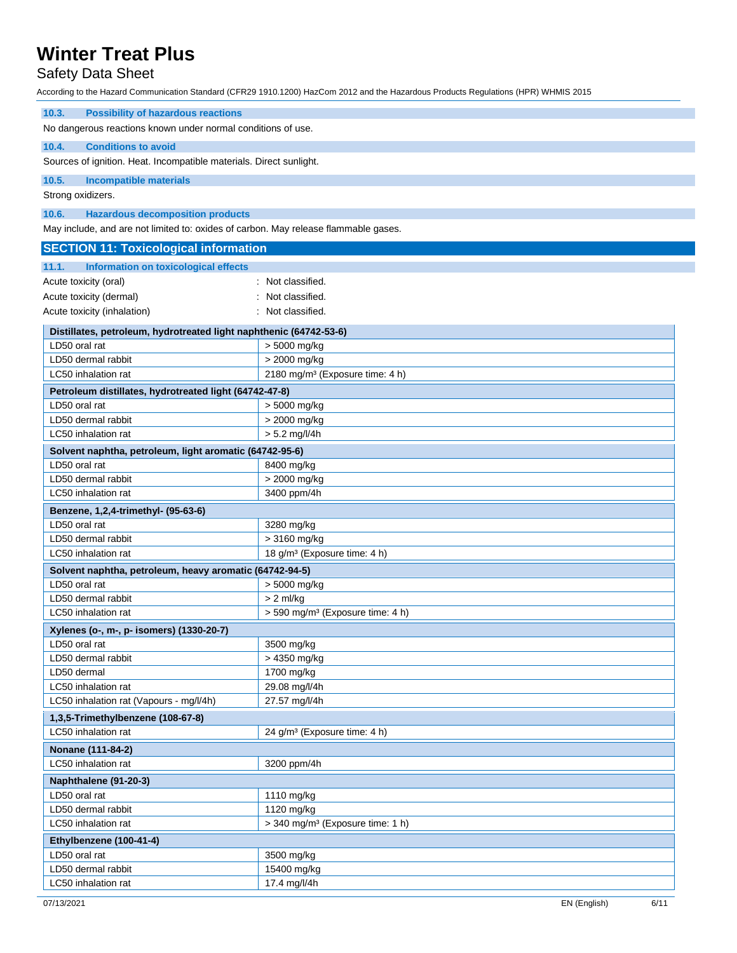## Safety Data Sheet

| <b>Possibility of hazardous reactions</b><br>10.3.                                  |                                              |  |
|-------------------------------------------------------------------------------------|----------------------------------------------|--|
| No dangerous reactions known under normal conditions of use.                        |                                              |  |
| 10.4.<br><b>Conditions to avoid</b>                                                 |                                              |  |
| Sources of ignition. Heat. Incompatible materials. Direct sunlight.                 |                                              |  |
| 10.5.<br><b>Incompatible materials</b>                                              |                                              |  |
|                                                                                     |                                              |  |
| Strong oxidizers.                                                                   |                                              |  |
| 10.6.<br><b>Hazardous decomposition products</b>                                    |                                              |  |
| May include, and are not limited to: oxides of carbon. May release flammable gases. |                                              |  |
| <b>SECTION 11: Toxicological information</b>                                        |                                              |  |
| 11.1.<br>Information on toxicological effects                                       |                                              |  |
| Acute toxicity (oral)                                                               | : Not classified.                            |  |
| Acute toxicity (dermal)                                                             | : Not classified.                            |  |
| Acute toxicity (inhalation)                                                         | : Not classified.                            |  |
| Distillates, petroleum, hydrotreated light naphthenic (64742-53-6)                  |                                              |  |
| LD50 oral rat                                                                       | > 5000 mg/kg                                 |  |
| LD50 dermal rabbit                                                                  | > 2000 mg/kg                                 |  |
| LC50 inhalation rat                                                                 | 2180 mg/m <sup>3</sup> (Exposure time: 4 h)  |  |
| Petroleum distillates, hydrotreated light (64742-47-8)                              |                                              |  |
| LD50 oral rat                                                                       | > 5000 mg/kg                                 |  |
| LD50 dermal rabbit                                                                  | > 2000 mg/kg                                 |  |
| LC50 inhalation rat                                                                 | $> 5.2$ mg/l/4h                              |  |
| Solvent naphtha, petroleum, light aromatic (64742-95-6)                             |                                              |  |
| LD50 oral rat                                                                       | 8400 mg/kg                                   |  |
| LD50 dermal rabbit                                                                  | > 2000 mg/kg                                 |  |
| LC50 inhalation rat                                                                 | 3400 ppm/4h                                  |  |
| Benzene, 1,2,4-trimethyl- (95-63-6)                                                 |                                              |  |
| LD50 oral rat                                                                       | 3280 mg/kg                                   |  |
| LD50 dermal rabbit                                                                  | $>3160$ mg/kg                                |  |
| LC50 inhalation rat                                                                 | 18 g/m <sup>3</sup> (Exposure time: 4 h)     |  |
| Solvent naphtha, petroleum, heavy aromatic (64742-94-5)                             |                                              |  |
| LD50 oral rat                                                                       | > 5000 mg/kg                                 |  |
| LD50 dermal rabbit                                                                  | $> 2$ ml/kg                                  |  |
| LC50 inhalation rat                                                                 | > 590 mg/m <sup>3</sup> (Exposure time: 4 h) |  |
| Xylenes (o-, m-, p- isomers) (1330-20-7)                                            |                                              |  |
| LD50 oral rat                                                                       | 3500 mg/kg                                   |  |
| LD50 dermal rabbit                                                                  | > 4350 mg/kg                                 |  |
| LD50 dermal                                                                         | 1700 mg/kg                                   |  |
| LC50 inhalation rat                                                                 | 29.08 mg/l/4h                                |  |
| LC50 inhalation rat (Vapours - mg/l/4h)                                             | 27.57 mg/l/4h                                |  |
| 1,3,5-Trimethylbenzene (108-67-8)                                                   |                                              |  |
| LC50 inhalation rat                                                                 | 24 g/m <sup>3</sup> (Exposure time: 4 h)     |  |
| Nonane (111-84-2)                                                                   |                                              |  |
| LC50 inhalation rat                                                                 | 3200 ppm/4h                                  |  |
| Naphthalene (91-20-3)                                                               |                                              |  |
| LD50 oral rat                                                                       | 1110 mg/kg                                   |  |
| LD50 dermal rabbit                                                                  | 1120 mg/kg                                   |  |
| LC50 inhalation rat                                                                 | > 340 mg/m <sup>3</sup> (Exposure time: 1 h) |  |
| Ethylbenzene (100-41-4)                                                             |                                              |  |
| LD50 oral rat                                                                       | 3500 mg/kg                                   |  |
| LD50 dermal rabbit                                                                  | 15400 mg/kg                                  |  |
| LC50 inhalation rat                                                                 | 17.4 mg/l/4h                                 |  |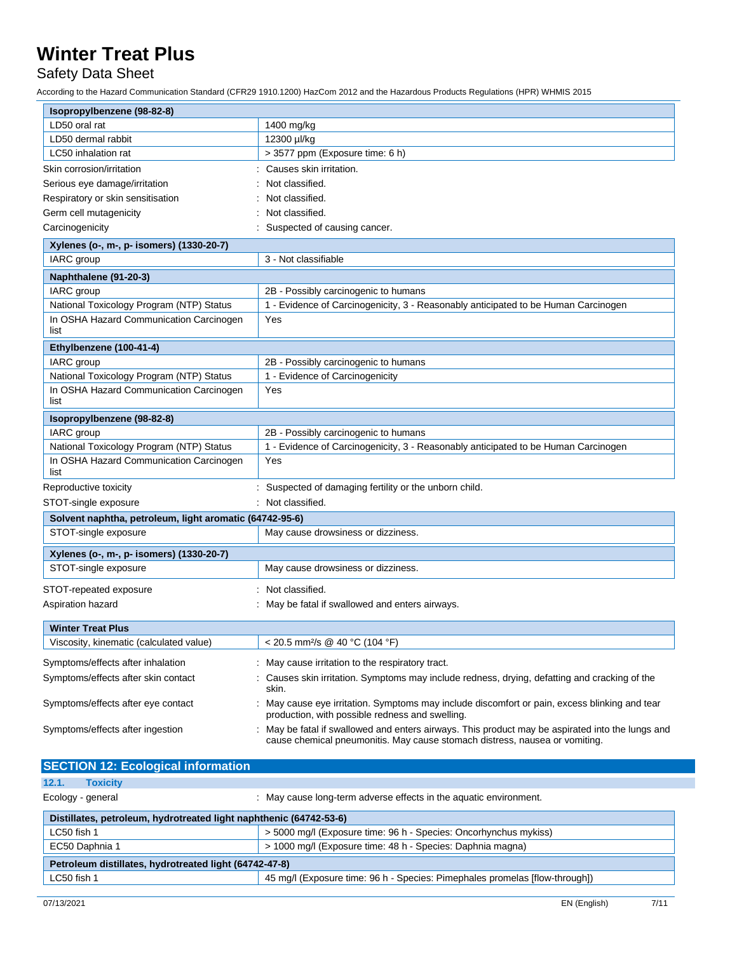## Safety Data Sheet

| Isopropylbenzene (98-82-8)                              |                                                                                                                                                                               |  |
|---------------------------------------------------------|-------------------------------------------------------------------------------------------------------------------------------------------------------------------------------|--|
| LD50 oral rat                                           | 1400 mg/kg                                                                                                                                                                    |  |
| LD50 dermal rabbit                                      | 12300 µl/kg                                                                                                                                                                   |  |
| LC50 inhalation rat                                     | > 3577 ppm (Exposure time: 6 h)                                                                                                                                               |  |
| Skin corrosion/irritation                               | Causes skin irritation.                                                                                                                                                       |  |
| Serious eye damage/irritation                           | Not classified.                                                                                                                                                               |  |
| Respiratory or skin sensitisation                       | Not classified.                                                                                                                                                               |  |
| Germ cell mutagenicity                                  | Not classified.                                                                                                                                                               |  |
| Carcinogenicity                                         | Suspected of causing cancer.                                                                                                                                                  |  |
| Xylenes (o-, m-, p- isomers) (1330-20-7)                |                                                                                                                                                                               |  |
| IARC group                                              | 3 - Not classifiable                                                                                                                                                          |  |
| Naphthalene (91-20-3)                                   |                                                                                                                                                                               |  |
| IARC group                                              | 2B - Possibly carcinogenic to humans                                                                                                                                          |  |
| National Toxicology Program (NTP) Status                | 1 - Evidence of Carcinogenicity, 3 - Reasonably anticipated to be Human Carcinogen                                                                                            |  |
| In OSHA Hazard Communication Carcinogen                 | Yes                                                                                                                                                                           |  |
| list                                                    |                                                                                                                                                                               |  |
| Ethylbenzene (100-41-4)                                 |                                                                                                                                                                               |  |
| IARC group                                              | 2B - Possibly carcinogenic to humans                                                                                                                                          |  |
| National Toxicology Program (NTP) Status                | 1 - Evidence of Carcinogenicity                                                                                                                                               |  |
| In OSHA Hazard Communication Carcinogen<br>list         | Yes                                                                                                                                                                           |  |
| Isopropylbenzene (98-82-8)                              |                                                                                                                                                                               |  |
| IARC group                                              | 2B - Possibly carcinogenic to humans                                                                                                                                          |  |
| National Toxicology Program (NTP) Status                | 1 - Evidence of Carcinogenicity, 3 - Reasonably anticipated to be Human Carcinogen                                                                                            |  |
| In OSHA Hazard Communication Carcinogen<br>list         | Yes                                                                                                                                                                           |  |
| Reproductive toxicity                                   | Suspected of damaging fertility or the unborn child.                                                                                                                          |  |
| STOT-single exposure                                    | : Not classified.                                                                                                                                                             |  |
| Solvent naphtha, petroleum, light aromatic (64742-95-6) |                                                                                                                                                                               |  |
| STOT-single exposure                                    | May cause drowsiness or dizziness.                                                                                                                                            |  |
| Xylenes (o-, m-, p- isomers) (1330-20-7)                |                                                                                                                                                                               |  |
| STOT-single exposure                                    | May cause drowsiness or dizziness.                                                                                                                                            |  |
| STOT-repeated exposure                                  | Not classified.                                                                                                                                                               |  |
| Aspiration hazard                                       | May be fatal if swallowed and enters airways.                                                                                                                                 |  |
| <b>Winter Treat Plus</b>                                |                                                                                                                                                                               |  |
| Viscosity, kinematic (calculated value)                 | < 20.5 mm <sup>2</sup> /s @ 40 °C (104 °F)                                                                                                                                    |  |
| Symptoms/effects after inhalation                       | May cause irritation to the respiratory tract.                                                                                                                                |  |
| Symptoms/effects after skin contact                     | Causes skin irritation. Symptoms may include redness, drying, defatting and cracking of the<br>skin.                                                                          |  |
| Symptoms/effects after eye contact                      | May cause eye irritation. Symptoms may include discomfort or pain, excess blinking and tear<br>production, with possible redness and swelling.                                |  |
| Symptoms/effects after ingestion                        | May be fatal if swallowed and enters airways. This product may be aspirated into the lungs and<br>cause chemical pneumonitis. May cause stomach distress, nausea or vomiting. |  |

| <b>SECTION 12: Ecological information</b>                          |                                                                             |  |
|--------------------------------------------------------------------|-----------------------------------------------------------------------------|--|
| 12.1.<br><b>Toxicity</b>                                           |                                                                             |  |
| Ecology - general                                                  | : May cause long-term adverse effects in the aquatic environment.           |  |
| Distillates, petroleum, hydrotreated light naphthenic (64742-53-6) |                                                                             |  |
| LC50 fish 1                                                        | > 5000 mg/l (Exposure time: 96 h - Species: Oncorhynchus mykiss)            |  |
| EC50 Daphnia 1                                                     | > 1000 mg/l (Exposure time: 48 h - Species: Daphnia magna)                  |  |
| Petroleum distillates, hydrotreated light (64742-47-8)             |                                                                             |  |
| LC50 fish 1                                                        | 45 mg/l (Exposure time: 96 h - Species: Pimephales promelas [flow-through]) |  |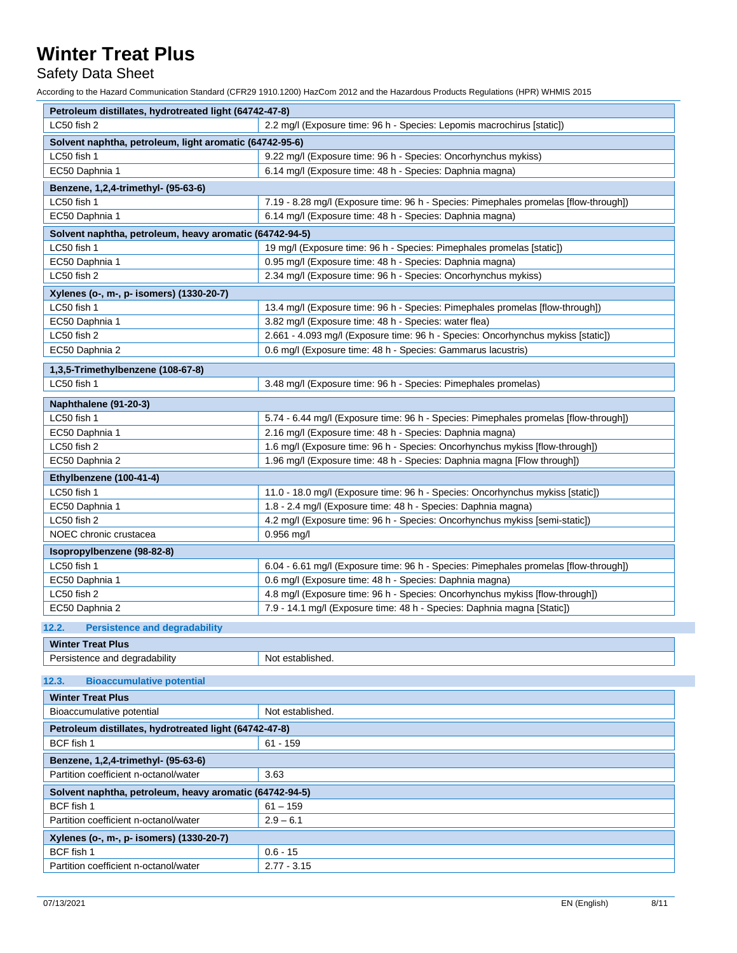Safety Data Sheet

| Petroleum distillates, hydrotreated light (64742-47-8)  |                                                                                      |  |
|---------------------------------------------------------|--------------------------------------------------------------------------------------|--|
| LC50 fish 2                                             | 2.2 mg/l (Exposure time: 96 h - Species: Lepomis macrochirus [static])               |  |
| Solvent naphtha, petroleum, light aromatic (64742-95-6) |                                                                                      |  |
| LC50 fish 1                                             | 9.22 mg/l (Exposure time: 96 h - Species: Oncorhynchus mykiss)                       |  |
| EC50 Daphnia 1                                          | 6.14 mg/l (Exposure time: 48 h - Species: Daphnia magna)                             |  |
| Benzene, 1,2,4-trimethyl- (95-63-6)                     |                                                                                      |  |
| LC50 fish 1                                             | 7.19 - 8.28 mg/l (Exposure time: 96 h - Species: Pimephales promelas [flow-through]) |  |
| EC50 Daphnia 1                                          | 6.14 mg/l (Exposure time: 48 h - Species: Daphnia magna)                             |  |
| Solvent naphtha, petroleum, heavy aromatic (64742-94-5) |                                                                                      |  |
| LC50 fish 1                                             | 19 mg/l (Exposure time: 96 h - Species: Pimephales promelas [static])                |  |
| EC50 Daphnia 1                                          | 0.95 mg/l (Exposure time: 48 h - Species: Daphnia magna)                             |  |
| LC50 fish 2                                             | 2.34 mg/l (Exposure time: 96 h - Species: Oncorhynchus mykiss)                       |  |
|                                                         |                                                                                      |  |
| Xylenes (o-, m-, p- isomers) (1330-20-7)<br>LC50 fish 1 | 13.4 mg/l (Exposure time: 96 h - Species: Pimephales promelas [flow-through])        |  |
| EC50 Daphnia 1                                          | 3.82 mg/l (Exposure time: 48 h - Species: water flea)                                |  |
| LC50 fish 2                                             | 2.661 - 4.093 mg/l (Exposure time: 96 h - Species: Oncorhynchus mykiss [static])     |  |
| EC50 Daphnia 2                                          | 0.6 mg/l (Exposure time: 48 h - Species: Gammarus lacustris)                         |  |
|                                                         |                                                                                      |  |
| 1,3,5-Trimethylbenzene (108-67-8)                       |                                                                                      |  |
| LC50 fish 1                                             | 3.48 mg/l (Exposure time: 96 h - Species: Pimephales promelas)                       |  |
| Naphthalene (91-20-3)                                   |                                                                                      |  |
| LC50 fish 1                                             | 5.74 - 6.44 mg/l (Exposure time: 96 h - Species: Pimephales promelas [flow-through]) |  |
| EC50 Daphnia 1                                          | 2.16 mg/l (Exposure time: 48 h - Species: Daphnia magna)                             |  |
| LC50 fish 2                                             | 1.6 mg/l (Exposure time: 96 h - Species: Oncorhynchus mykiss [flow-through])         |  |
| EC50 Daphnia 2                                          | 1.96 mg/l (Exposure time: 48 h - Species: Daphnia magna [Flow through])              |  |
| Ethylbenzene (100-41-4)                                 |                                                                                      |  |
| LC50 fish 1                                             | 11.0 - 18.0 mg/l (Exposure time: 96 h - Species: Oncorhynchus mykiss [static])       |  |
| EC50 Daphnia 1                                          | 1.8 - 2.4 mg/l (Exposure time: 48 h - Species: Daphnia magna)                        |  |
| LC50 fish 2                                             | 4.2 mg/l (Exposure time: 96 h - Species: Oncorhynchus mykiss [semi-static])          |  |
| NOEC chronic crustacea                                  | $0.956$ mg/l                                                                         |  |
| Isopropylbenzene (98-82-8)                              |                                                                                      |  |
| LC50 fish 1                                             | 6.04 - 6.61 mg/l (Exposure time: 96 h - Species: Pimephales promelas [flow-through]) |  |
| EC50 Daphnia 1                                          | 0.6 mg/l (Exposure time: 48 h - Species: Daphnia magna)                              |  |
| LC50 fish 2                                             | 4.8 mg/l (Exposure time: 96 h - Species: Oncorhynchus mykiss [flow-through])         |  |
| EC50 Daphnia 2                                          | 7.9 - 14.1 mg/l (Exposure time: 48 h - Species: Daphnia magna [Static])              |  |
|                                                         |                                                                                      |  |
| <b>Persistence and degradability</b><br>12.2.           |                                                                                      |  |
| <b>Winter Treat Plus</b>                                |                                                                                      |  |
| Persistence and degradability                           | Not established.                                                                     |  |
| 12.3.<br><b>Bioaccumulative potential</b>               |                                                                                      |  |
| <b>Winter Treat Plus</b>                                |                                                                                      |  |
| Bioaccumulative potential                               | Not established.                                                                     |  |
| Petroleum distillates, hydrotreated light (64742-47-8)  |                                                                                      |  |
| BCF fish 1                                              | $61 - 159$                                                                           |  |
|                                                         |                                                                                      |  |
| Benzene, 1,2,4-trimethyl- (95-63-6)                     |                                                                                      |  |
| Partition coefficient n-octanol/water                   | 3.63                                                                                 |  |
| Solvent naphtha, petroleum, heavy aromatic (64742-94-5) |                                                                                      |  |
| BCF fish 1                                              | $61 - 159$                                                                           |  |
| Partition coefficient n-octanol/water                   | $2.9 - 6.1$                                                                          |  |
| Xylenes (o-, m-, p- isomers) (1330-20-7)                |                                                                                      |  |
| BCF fish 1                                              | $0.6 - 15$                                                                           |  |
| Partition coefficient n-octanol/water                   | $2.77 - 3.15$                                                                        |  |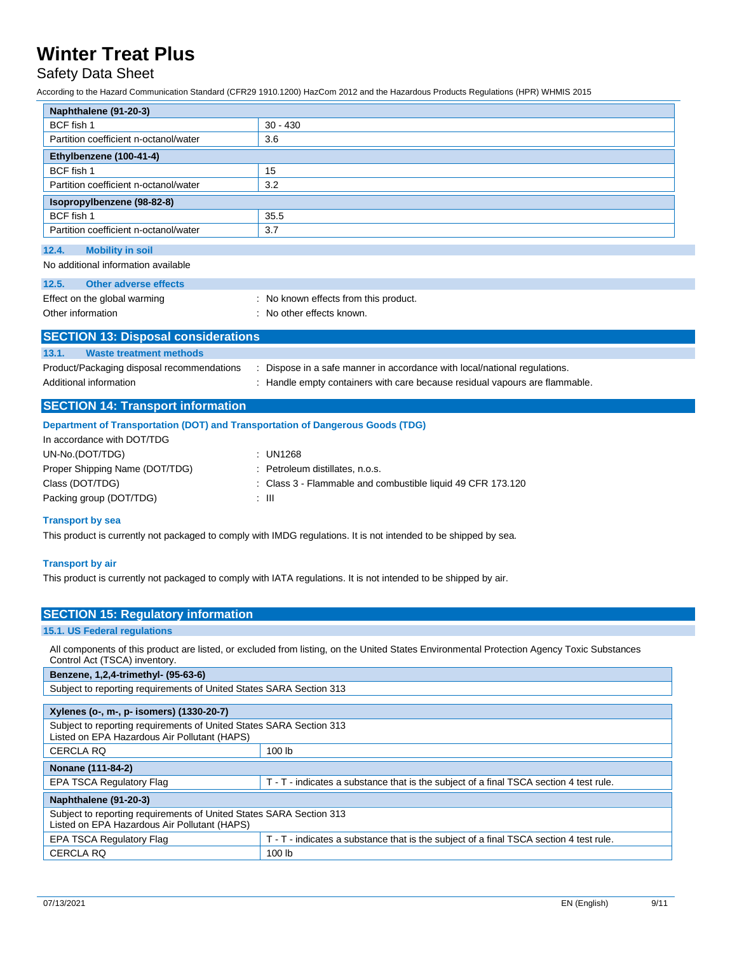### Safety Data Sheet

According to the Hazard Communication Standard (CFR29 1910.1200) HazCom 2012 and the Hazardous Products Regulations (HPR) WHMIS 2015

| Naphthalene (91-20-3)                                                          |                                                                                                                  |
|--------------------------------------------------------------------------------|------------------------------------------------------------------------------------------------------------------|
| BCF fish 1                                                                     | $30 - 430$                                                                                                       |
| Partition coefficient n-octanol/water                                          | 3.6                                                                                                              |
| Ethylbenzene (100-41-4)                                                        |                                                                                                                  |
| BCF fish 1                                                                     | 15                                                                                                               |
| Partition coefficient n-octanol/water                                          | 3.2                                                                                                              |
| Isopropylbenzene (98-82-8)                                                     |                                                                                                                  |
| BCF fish 1                                                                     | 35.5                                                                                                             |
| Partition coefficient n-octanol/water                                          | 3.7                                                                                                              |
| 12.4.<br><b>Mobility in soil</b>                                               |                                                                                                                  |
| No additional information available                                            |                                                                                                                  |
| <b>Other adverse effects</b><br>12.5.                                          |                                                                                                                  |
| Effect on the global warming                                                   | : No known effects from this product.                                                                            |
| Other information                                                              | : No other effects known.                                                                                        |
|                                                                                |                                                                                                                  |
| <b>SECTION 13: Disposal considerations</b>                                     |                                                                                                                  |
| 13.1.<br><b>Waste treatment methods</b>                                        |                                                                                                                  |
| Product/Packaging disposal recommendations                                     | : Dispose in a safe manner in accordance with local/national regulations.                                        |
| Additional information                                                         | : Handle empty containers with care because residual vapours are flammable.                                      |
| <b>SECTION 14: Transport information</b>                                       |                                                                                                                  |
|                                                                                |                                                                                                                  |
| Department of Transportation (DOT) and Transportation of Dangerous Goods (TDG) |                                                                                                                  |
| In accordance with DOT/TDG                                                     |                                                                                                                  |
| UN-No.(DOT/TDG)                                                                | : UN1268                                                                                                         |
| Proper Shipping Name (DOT/TDG)                                                 | Petroleum distillates, n.o.s.                                                                                    |
| Class (DOT/TDG)                                                                | : Class 3 - Flammable and combustible liquid 49 CFR 173.120<br>$\pm$ 111                                         |
| Packing group (DOT/TDG)                                                        |                                                                                                                  |
| <b>Transport by sea</b>                                                        |                                                                                                                  |
|                                                                                | This product is currently not packaged to comply with IMDG regulations. It is not intended to be shipped by sea. |
|                                                                                |                                                                                                                  |
| <b>Transport by air</b>                                                        |                                                                                                                  |

This product is currently not packaged to comply with IATA regulations. It is not intended to be shipped by air.

| <b>SECTION 15: Regulatory information</b>                                                                                                                                   |                                                                                        |  |
|-----------------------------------------------------------------------------------------------------------------------------------------------------------------------------|----------------------------------------------------------------------------------------|--|
| <b>15.1. US Federal regulations</b>                                                                                                                                         |                                                                                        |  |
| All components of this product are listed, or excluded from listing, on the United States Environmental Protection Agency Toxic Substances<br>Control Act (TSCA) inventory. |                                                                                        |  |
| Benzene, 1,2,4-trimethyl- (95-63-6)                                                                                                                                         |                                                                                        |  |
| Subject to reporting requirements of United States SARA Section 313                                                                                                         |                                                                                        |  |
| Xylenes (o-, m-, p- isomers) (1330-20-7)                                                                                                                                    |                                                                                        |  |
| Subject to reporting requirements of United States SARA Section 313<br>Listed on EPA Hazardous Air Pollutant (HAPS)                                                         |                                                                                        |  |
| <b>CERCLA RQ</b>                                                                                                                                                            | 100 lb                                                                                 |  |
| Nonane (111-84-2)                                                                                                                                                           |                                                                                        |  |
| <b>EPA TSCA Regulatory Flag</b>                                                                                                                                             | T - T - indicates a substance that is the subject of a final TSCA section 4 test rule. |  |
| Naphthalene (91-20-3)                                                                                                                                                       |                                                                                        |  |
| Subject to reporting requirements of United States SARA Section 313<br>Listed on EPA Hazardous Air Pollutant (HAPS)                                                         |                                                                                        |  |
| <b>EPA TSCA Regulatory Flag</b>                                                                                                                                             | T - T - indicates a substance that is the subject of a final TSCA section 4 test rule. |  |
| <b>CERCLA RQ</b><br>100 lb                                                                                                                                                  |                                                                                        |  |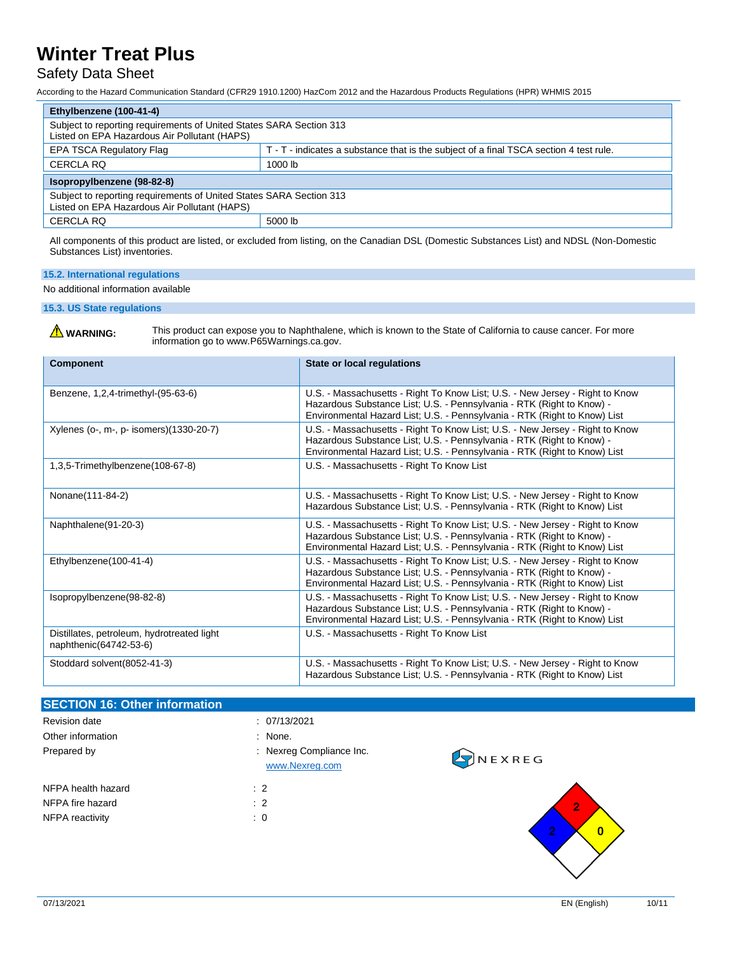### Safety Data Sheet

According to the Hazard Communication Standard (CFR29 1910.1200) HazCom 2012 and the Hazardous Products Regulations (HPR) WHMIS 2015

| Ethylbenzene (100-41-4)                                                                                             |                                                                                        |  |
|---------------------------------------------------------------------------------------------------------------------|----------------------------------------------------------------------------------------|--|
| Subject to reporting requirements of United States SARA Section 313<br>Listed on EPA Hazardous Air Pollutant (HAPS) |                                                                                        |  |
| <b>EPA TSCA Regulatory Flag</b>                                                                                     | T - T - indicates a substance that is the subject of a final TSCA section 4 test rule. |  |
| CERCLA RQ                                                                                                           | 1000 lb                                                                                |  |
| Isopropylbenzene (98-82-8)                                                                                          |                                                                                        |  |
| Subject to reporting requirements of United States SARA Section 313<br>Listed on EPA Hazardous Air Pollutant (HAPS) |                                                                                        |  |
| 5000 lb<br><b>CERCLA RQ</b>                                                                                         |                                                                                        |  |

All components of this product are listed, or excluded from listing, on the Canadian DSL (Domestic Substances List) and NDSL (Non-Domestic Substances List) inventories.

### **15.2. International regulations**

No additional information available

**15.3. US State regulations**

WARNING: This product can expose you to Naphthalene, which is known to the State of California to cause cancer. For more information go to www.P65Warnings.ca.gov.

| <b>Component</b>                                                     | <b>State or local regulations</b>                                                                                                                                                                                                  |
|----------------------------------------------------------------------|------------------------------------------------------------------------------------------------------------------------------------------------------------------------------------------------------------------------------------|
| Benzene, 1,2,4-trimethyl-(95-63-6)                                   | U.S. - Massachusetts - Right To Know List; U.S. - New Jersey - Right to Know<br>Hazardous Substance List; U.S. - Pennsylvania - RTK (Right to Know) -<br>Environmental Hazard List; U.S. - Pennsylvania - RTK (Right to Know) List |
| Xylenes (o-, m-, p- isomers)(1330-20-7)                              | U.S. - Massachusetts - Right To Know List; U.S. - New Jersey - Right to Know<br>Hazardous Substance List; U.S. - Pennsylvania - RTK (Right to Know) -<br>Environmental Hazard List; U.S. - Pennsylvania - RTK (Right to Know) List |
| 1,3,5-Trimethylbenzene(108-67-8)                                     | U.S. - Massachusetts - Right To Know List                                                                                                                                                                                          |
| Nonane(111-84-2)                                                     | U.S. - Massachusetts - Right To Know List; U.S. - New Jersey - Right to Know<br>Hazardous Substance List; U.S. - Pennsylvania - RTK (Right to Know) List                                                                           |
| Naphthalene(91-20-3)                                                 | U.S. - Massachusetts - Right To Know List; U.S. - New Jersey - Right to Know<br>Hazardous Substance List; U.S. - Pennsylvania - RTK (Right to Know) -<br>Environmental Hazard List; U.S. - Pennsylvania - RTK (Right to Know) List |
| Ethylbenzene(100-41-4)                                               | U.S. - Massachusetts - Right To Know List; U.S. - New Jersey - Right to Know<br>Hazardous Substance List; U.S. - Pennsylvania - RTK (Right to Know) -<br>Environmental Hazard List; U.S. - Pennsylvania - RTK (Right to Know) List |
| Isopropylbenzene(98-82-8)                                            | U.S. - Massachusetts - Right To Know List; U.S. - New Jersey - Right to Know<br>Hazardous Substance List; U.S. - Pennsylvania - RTK (Right to Know) -<br>Environmental Hazard List; U.S. - Pennsylvania - RTK (Right to Know) List |
| Distillates, petroleum, hydrotreated light<br>naphthenic(64742-53-6) | U.S. - Massachusetts - Right To Know List                                                                                                                                                                                          |
| Stoddard solvent (8052-41-3)                                         | U.S. - Massachusetts - Right To Know List; U.S. - New Jersey - Right to Know<br>Hazardous Substance List; U.S. - Pennsylvania - RTK (Right to Know) List                                                                           |

| <b>SECTION 16: Other information</b> |                                            |                            |
|--------------------------------------|--------------------------------------------|----------------------------|
| Revision date                        | : 07/13/2021                               |                            |
| Other information                    | : None.                                    |                            |
| Prepared by                          | : Nexreg Compliance Inc.<br>www.Nexreg.com | <b>EXREG</b>               |
| NFPA health hazard                   | $\therefore$ 2                             |                            |
| NFPA fire hazard                     | $\therefore$ 2                             | $\overline{2}$             |
| NFPA reactivity                      | $\colon 0$                                 | $\bullet$<br>$\bf{0}$<br>÷ |